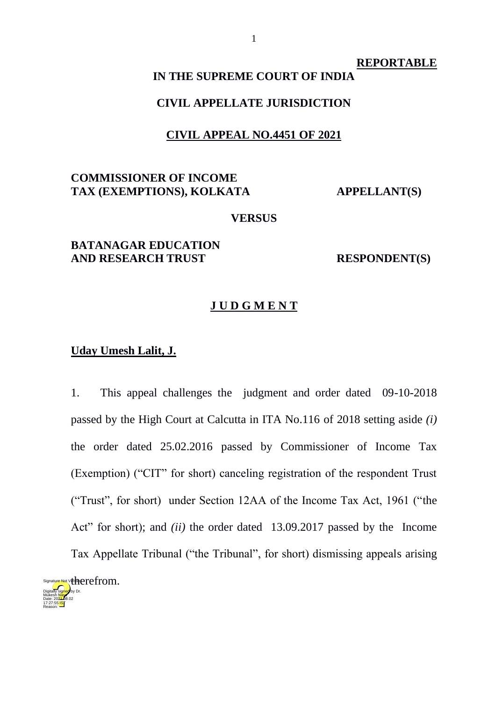#### **REPORTABLE**

# **IN THE SUPREME COURT OF INDIA**

### **CIVIL APPELLATE JURISDICTION**

#### **CIVIL APPEAL NO.4451 OF 2021**

# **COMMISSIONER OF INCOME**  TAX (EXEMPTIONS), KOLKATA **APPELLANT**(S)

#### **VERSUS**

# **BATANAGAR EDUCATION AND RESEARCH TRUST RESPONDENT(S)**

### **J U D G M E N T**

# **Uday Umesh Lalit, J.**

1. This appeal challenges the judgment and order dated 09-10-2018 passed by the High Court at Calcutta in ITA No.116 of 2018 setting aside *(i)* the order dated 25.02.2016 passed by Commissioner of Income Tax (Exemption) ("CIT" for short) canceling registration of the respondent Trust ("Trust", for short) under Section 12AA of the Income Tax Act, 1961 ("the Act" for short); and *(ii)* the order dated 13.09.2017 passed by the Income Tax Appellate Tribunal ("the Tribunal", for short) dismissing appeals arising

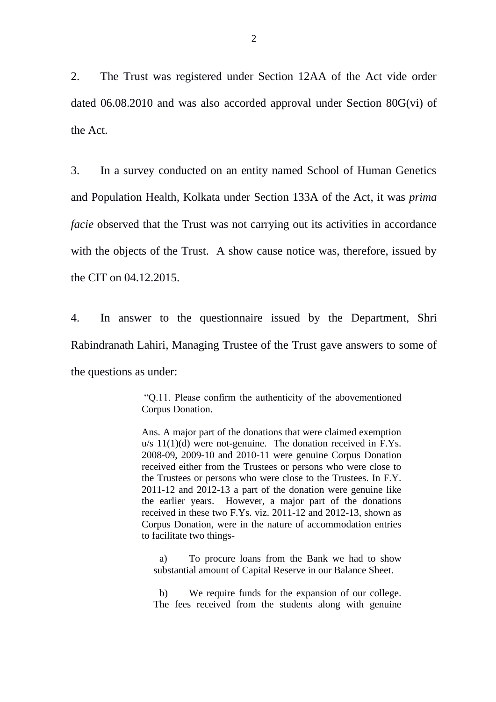2. The Trust was registered under Section 12AA of the Act vide order dated 06.08.2010 and was also accorded approval under Section 80G(vi) of the Act.

3. In a survey conducted on an entity named School of Human Genetics and Population Health, Kolkata under Section 133A of the Act, it was *prima facie* observed that the Trust was not carrying out its activities in accordance with the objects of the Trust. A show cause notice was, therefore, issued by the CIT on 04.12.2015.

4. In answer to the questionnaire issued by the Department, Shri Rabindranath Lahiri, Managing Trustee of the Trust gave answers to some of the questions as under:

> "Q.11. Please confirm the authenticity of the abovementioned Corpus Donation.

> Ans. A major part of the donations that were claimed exemption u/s 11(1)(d) were not-genuine. The donation received in F.Ys. 2008-09, 2009-10 and 2010-11 were genuine Corpus Donation received either from the Trustees or persons who were close to the Trustees or persons who were close to the Trustees. In F.Y. 2011-12 and 2012-13 a part of the donation were genuine like the earlier years. However, a major part of the donations received in these two F.Ys. viz. 2011-12 and 2012-13, shown as Corpus Donation, were in the nature of accommodation entries to facilitate two things-

a) To procure loans from the Bank we had to show substantial amount of Capital Reserve in our Balance Sheet.

b) We require funds for the expansion of our college. The fees received from the students along with genuine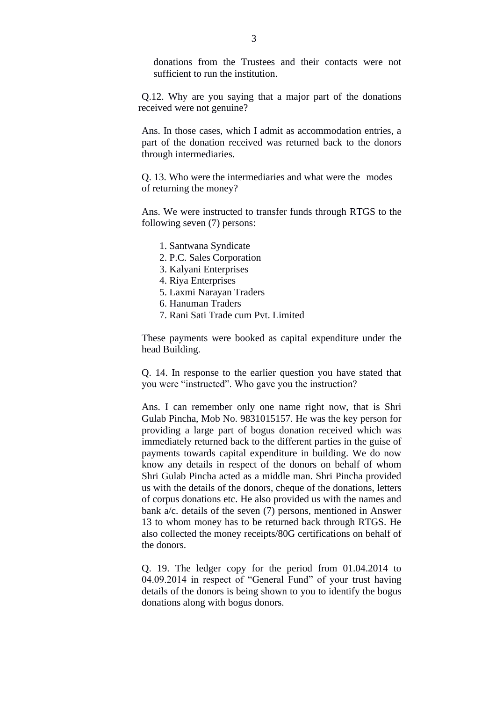donations from the Trustees and their contacts were not sufficient to run the institution.

Q.12. Why are you saying that a major part of the donations received were not genuine?

Ans. In those cases, which I admit as accommodation entries, a part of the donation received was returned back to the donors through intermediaries.

Q. 13. Who were the intermediaries and what were the modes of returning the money?

Ans. We were instructed to transfer funds through RTGS to the following seven (7) persons:

- 1. Santwana Syndicate
- 2. P.C. Sales Corporation
- 3. Kalyani Enterprises
- 4. Riya Enterprises
- 5. Laxmi Narayan Traders
- 6. Hanuman Traders
- 7. Rani Sati Trade cum Pvt. Limited

These payments were booked as capital expenditure under the head Building.

Q. 14. In response to the earlier question you have stated that you were "instructed". Who gave you the instruction?

Ans. I can remember only one name right now, that is Shri Gulab Pincha, Mob No. 9831015157. He was the key person for providing a large part of bogus donation received which was immediately returned back to the different parties in the guise of payments towards capital expenditure in building. We do now know any details in respect of the donors on behalf of whom Shri Gulab Pincha acted as a middle man. Shri Pincha provided us with the details of the donors, cheque of the donations, letters of corpus donations etc. He also provided us with the names and bank a/c. details of the seven (7) persons, mentioned in Answer 13 to whom money has to be returned back through RTGS. He also collected the money receipts/80G certifications on behalf of the donors.

Q. 19. The ledger copy for the period from 01.04.2014 to 04.09.2014 in respect of "General Fund" of your trust having details of the donors is being shown to you to identify the bogus donations along with bogus donors.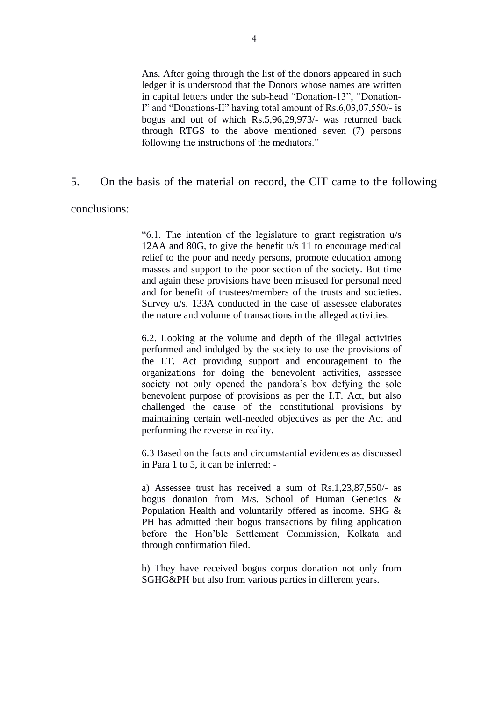Ans. After going through the list of the donors appeared in such ledger it is understood that the Donors whose names are written in capital letters under the sub-head "Donation-13", "Donation-I" and "Donations-II" having total amount of Rs.6,03,07,550/- is bogus and out of which Rs.5,96,29,973/- was returned back through RTGS to the above mentioned seven (7) persons following the instructions of the mediators."

### 5. On the basis of the material on record, the CIT came to the following

conclusions:

"6.1. The intention of the legislature to grant registration u/s 12AA and 80G, to give the benefit u/s 11 to encourage medical relief to the poor and needy persons, promote education among masses and support to the poor section of the society. But time and again these provisions have been misused for personal need and for benefit of trustees/members of the trusts and societies. Survey u/s. 133A conducted in the case of assessee elaborates the nature and volume of transactions in the alleged activities.

6.2. Looking at the volume and depth of the illegal activities performed and indulged by the society to use the provisions of the I.T. Act providing support and encouragement to the organizations for doing the benevolent activities, assessee society not only opened the pandora's box defying the sole benevolent purpose of provisions as per the I.T. Act, but also challenged the cause of the constitutional provisions by maintaining certain well-needed objectives as per the Act and performing the reverse in reality.

6.3 Based on the facts and circumstantial evidences as discussed in Para 1 to 5, it can be inferred: -

a) Assessee trust has received a sum of Rs.1,23,87,550/- as bogus donation from M/s. School of Human Genetics & Population Health and voluntarily offered as income. SHG & PH has admitted their bogus transactions by filing application before the Hon'ble Settlement Commission, Kolkata and through confirmation filed.

b) They have received bogus corpus donation not only from SGHG&PH but also from various parties in different years.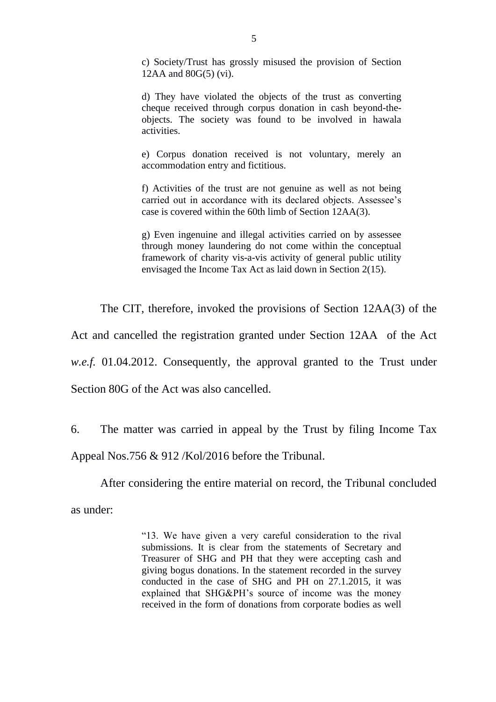c) Society/Trust has grossly misused the provision of Section 12AA and 80G(5) (vi).

d) They have violated the objects of the trust as converting cheque received through corpus donation in cash beyond-theobjects. The society was found to be involved in hawala activities.

e) Corpus donation received is not voluntary, merely an accommodation entry and fictitious.

f) Activities of the trust are not genuine as well as not being carried out in accordance with its declared objects. Assessee's case is covered within the 60th limb of Section 12AA(3).

g) Even ingenuine and illegal activities carried on by assessee through money laundering do not come within the conceptual framework of charity vis-a-vis activity of general public utility envisaged the Income Tax Act as laid down in Section 2(15).

The CIT, therefore, invoked the provisions of Section 12AA(3) of the

Act and cancelled the registration granted under Section 12AA of the Act

*w.e.f.* 01.04.2012. Consequently, the approval granted to the Trust under

Section 80G of the Act was also cancelled.

6. The matter was carried in appeal by the Trust by filing Income Tax Appeal Nos.756 & 912 /Kol/2016 before the Tribunal.

After considering the entire material on record, the Tribunal concluded as under:

> "13. We have given a very careful consideration to the rival submissions. It is clear from the statements of Secretary and Treasurer of SHG and PH that they were accepting cash and giving bogus donations. In the statement recorded in the survey conducted in the case of SHG and PH on 27.1.2015, it was explained that SHG&PH's source of income was the money received in the form of donations from corporate bodies as well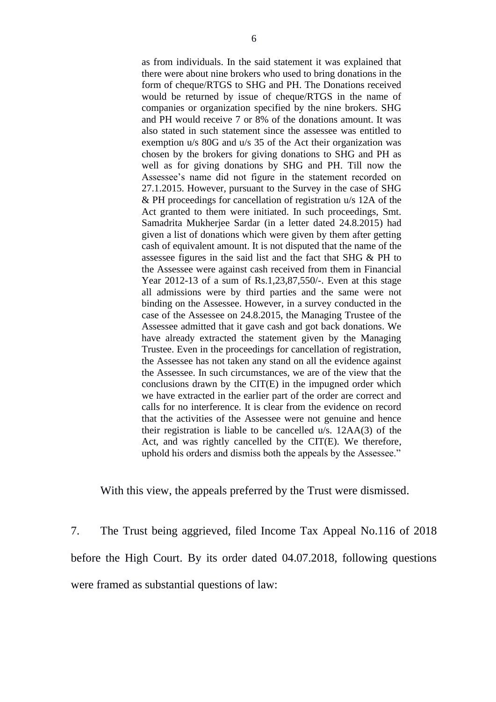as from individuals. In the said statement it was explained that there were about nine brokers who used to bring donations in the form of cheque/RTGS to SHG and PH. The Donations received would be returned by issue of cheque/RTGS in the name of companies or organization specified by the nine brokers. SHG and PH would receive 7 or 8% of the donations amount. It was also stated in such statement since the assessee was entitled to exemption u/s 80G and u/s 35 of the Act their organization was chosen by the brokers for giving donations to SHG and PH as well as for giving donations by SHG and PH. Till now the Assessee's name did not figure in the statement recorded on 27.1.2015. However, pursuant to the Survey in the case of SHG & PH proceedings for cancellation of registration u/s 12A of the Act granted to them were initiated. In such proceedings, Smt. Samadrita Mukherjee Sardar (in a letter dated 24.8.2015) had given a list of donations which were given by them after getting cash of equivalent amount. It is not disputed that the name of the assessee figures in the said list and the fact that SHG & PH to the Assessee were against cash received from them in Financial Year 2012-13 of a sum of Rs.1,23,87,550/-. Even at this stage all admissions were by third parties and the same were not binding on the Assessee. However, in a survey conducted in the case of the Assessee on 24.8.2015, the Managing Trustee of the Assessee admitted that it gave cash and got back donations. We have already extracted the statement given by the Managing Trustee. Even in the proceedings for cancellation of registration, the Assessee has not taken any stand on all the evidence against the Assessee. In such circumstances, we are of the view that the conclusions drawn by the CIT(E) in the impugned order which we have extracted in the earlier part of the order are correct and calls for no interference. It is clear from the evidence on record that the activities of the Assessee were not genuine and hence their registration is liable to be cancelled u/s. 12AA(3) of the Act, and was rightly cancelled by the CIT(E). We therefore, uphold his orders and dismiss both the appeals by the Assessee."

With this view, the appeals preferred by the Trust were dismissed.

7. The Trust being aggrieved, filed Income Tax Appeal No.116 of 2018 before the High Court. By its order dated 04.07.2018, following questions were framed as substantial questions of law: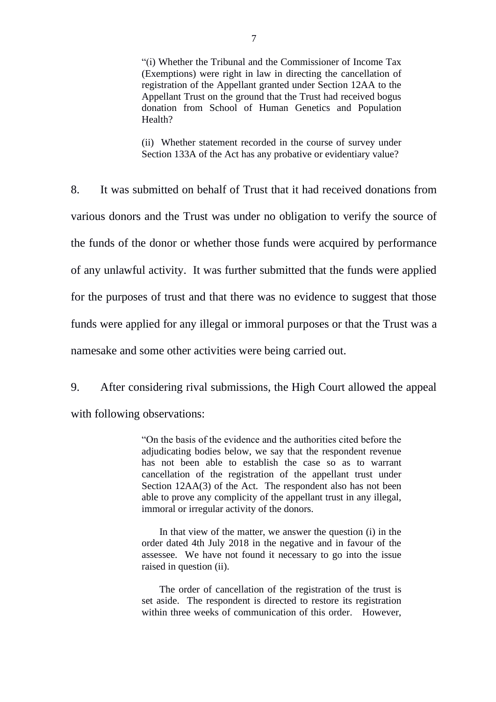"(i) Whether the Tribunal and the Commissioner of Income Tax (Exemptions) were right in law in directing the cancellation of registration of the Appellant granted under Section 12AA to the Appellant Trust on the ground that the Trust had received bogus donation from School of Human Genetics and Population Health?

(ii) Whether statement recorded in the course of survey under Section 133A of the Act has any probative or evidentiary value?

8. It was submitted on behalf of Trust that it had received donations from various donors and the Trust was under no obligation to verify the source of the funds of the donor or whether those funds were acquired by performance of any unlawful activity. It was further submitted that the funds were applied for the purposes of trust and that there was no evidence to suggest that those funds were applied for any illegal or immoral purposes or that the Trust was a namesake and some other activities were being carried out.

9. After considering rival submissions, the High Court allowed the appeal

with following observations:

"On the basis of the evidence and the authorities cited before the adjudicating bodies below, we say that the respondent revenue has not been able to establish the case so as to warrant cancellation of the registration of the appellant trust under Section 12AA(3) of the Act. The respondent also has not been able to prove any complicity of the appellant trust in any illegal, immoral or irregular activity of the donors.

In that view of the matter, we answer the question (i) in the order dated 4th July 2018 in the negative and in favour of the assessee. We have not found it necessary to go into the issue raised in question (ii).

The order of cancellation of the registration of the trust is set aside. The respondent is directed to restore its registration within three weeks of communication of this order. However,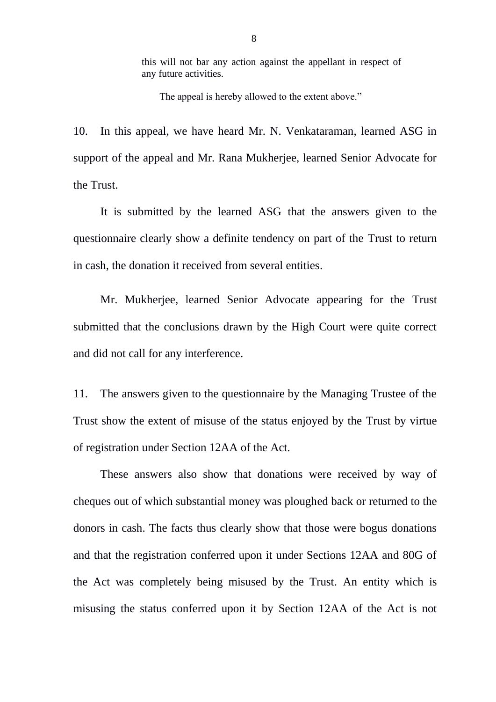this will not bar any action against the appellant in respect of any future activities.

The appeal is hereby allowed to the extent above."

10. In this appeal, we have heard Mr. N. Venkataraman, learned ASG in support of the appeal and Mr. Rana Mukherjee, learned Senior Advocate for the Trust.

It is submitted by the learned ASG that the answers given to the questionnaire clearly show a definite tendency on part of the Trust to return in cash, the donation it received from several entities.

Mr. Mukherjee, learned Senior Advocate appearing for the Trust submitted that the conclusions drawn by the High Court were quite correct and did not call for any interference.

11. The answers given to the questionnaire by the Managing Trustee of the Trust show the extent of misuse of the status enjoyed by the Trust by virtue of registration under Section 12AA of the Act.

These answers also show that donations were received by way of cheques out of which substantial money was ploughed back or returned to the donors in cash. The facts thus clearly show that those were bogus donations and that the registration conferred upon it under Sections 12AA and 80G of the Act was completely being misused by the Trust. An entity which is misusing the status conferred upon it by Section 12AA of the Act is not